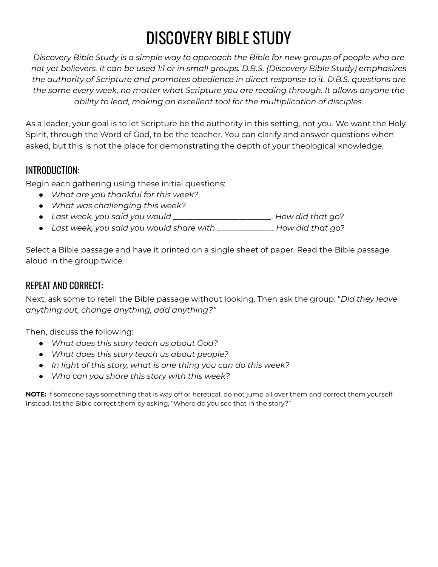# DISCOVERY BIBLE STUDY

*Discovery Bible Study is a simple way to approach the Bible for new groups of people who are not yet believers. It can be used 1:1 or in small groups. D.B.S. (Discovery Bible Study) emphasizes the authority of Scripture and promotes obedience in direct response to it. D.B.S. questions are the same every week, no matter what Scripture you are reading through. It allows anyone the ability to lead, making an excellent tool for the multiplication of disciples.*

As a leader, your goal is to let Scripture be the authority in this setting, not you. We want the Holy Spirit, through the Word of God, to be the teacher. You can clarify and answer questions when asked, but this is not the place for demonstrating the depth of your theological knowledge.

## INTRODUCTION:

Begin each gathering using these initial questions:

- *● What are you thankful for this week?*
- *● What was challenging this week?*
- *● Last week, you said you would \_\_\_\_\_\_\_\_\_\_\_\_\_\_\_\_\_\_\_\_\_\_\_\_\_. How did that go?*
- *● Last week, you said you would share with \_\_\_\_\_\_\_\_\_\_\_\_\_\_. How did that go?*

Select a Bible passage and have it printed on a single sheet of paper. Read the Bible passage aloud in the group twice.

## REPEAT AND CORRECT:

Next, ask some to retell the Bible passage without looking. Then ask the group: "*Did they leave anything out, change anything, add anything?"*

Then, discuss the following:

- *● What does this story teach us about God?*
- *● What does this story teach us about people?*
- *● In light of this story, what is one thing you can do this week?*
- *● Who can you share this story with this week?*

**NOTE:** If someone says something that is way off or heretical, do not jump all over them and correct them yourself. Instead, let the Bible correct them by asking, "Where do you see that in the story?"